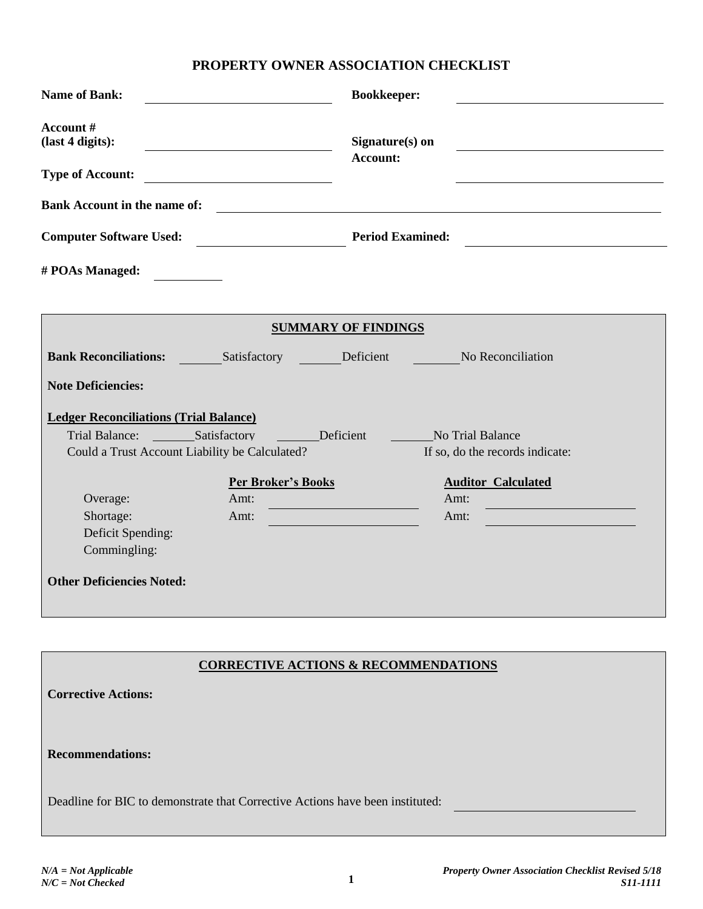## **PROPERTY OWNER ASSOCIATION CHECKLIST**

| <b>Name of Bank:</b>                                    |                                                 | <b>Bookkeeper:</b>                              |                                                       |
|---------------------------------------------------------|-------------------------------------------------|-------------------------------------------------|-------------------------------------------------------|
| Account#<br>(last 4 digits):<br><b>Type of Account:</b> |                                                 | Signature(s) on<br><b>Account:</b>              |                                                       |
|                                                         |                                                 |                                                 |                                                       |
| <b>Bank Account in the name of:</b>                     |                                                 |                                                 | <u> 1989 - Johann Stein, fransk politik (d. 1989)</u> |
| <b>Computer Software Used:</b>                          |                                                 |                                                 | <b>Period Examined:</b>                               |
| # POAs Managed:                                         |                                                 |                                                 |                                                       |
|                                                         |                                                 |                                                 |                                                       |
|                                                         |                                                 | <b>SUMMARY OF FINDINGS</b>                      |                                                       |
| <b>Bank Reconciliations:</b> Satisfactory Deficient     |                                                 |                                                 | <b>Example 2018</b> No Reconciliation                 |
| <b>Note Deficiencies:</b>                               |                                                 |                                                 |                                                       |
| <b>Ledger Reconciliations (Trial Balance)</b>           |                                                 |                                                 |                                                       |
| Trial Balance: Satisfactory                             |                                                 | <b>Exercise Deficient</b>                       | <b>Example 3 No Trial Balance</b>                     |
| Could a Trust Account Liability be Calculated?          |                                                 |                                                 | If so, do the records indicate:                       |
|                                                         | <b>Per Broker's Books</b>                       |                                                 | <b>Auditor Calculated</b>                             |
| Overage:                                                | Amt:                                            |                                                 | Amt:                                                  |
| Shortage:                                               | Amt:                                            | <u> 1970 - Johann Barnett, fransk politik (</u> | Amt:                                                  |
| Deficit Spending:                                       |                                                 |                                                 |                                                       |
| Commingling:                                            |                                                 |                                                 |                                                       |
| <b>Other Deficiencies Noted:</b>                        |                                                 |                                                 |                                                       |
|                                                         |                                                 |                                                 |                                                       |
|                                                         |                                                 |                                                 |                                                       |
|                                                         |                                                 |                                                 |                                                       |
|                                                         | <b>CORRECTIVE ACTIONS &amp; RECOMMENDATIONS</b> |                                                 |                                                       |

| <b>Corrective Actions:</b>                                                    |  |
|-------------------------------------------------------------------------------|--|
| <b>Recommendations:</b>                                                       |  |
| Deadline for BIC to demonstrate that Corrective Actions have been instituted: |  |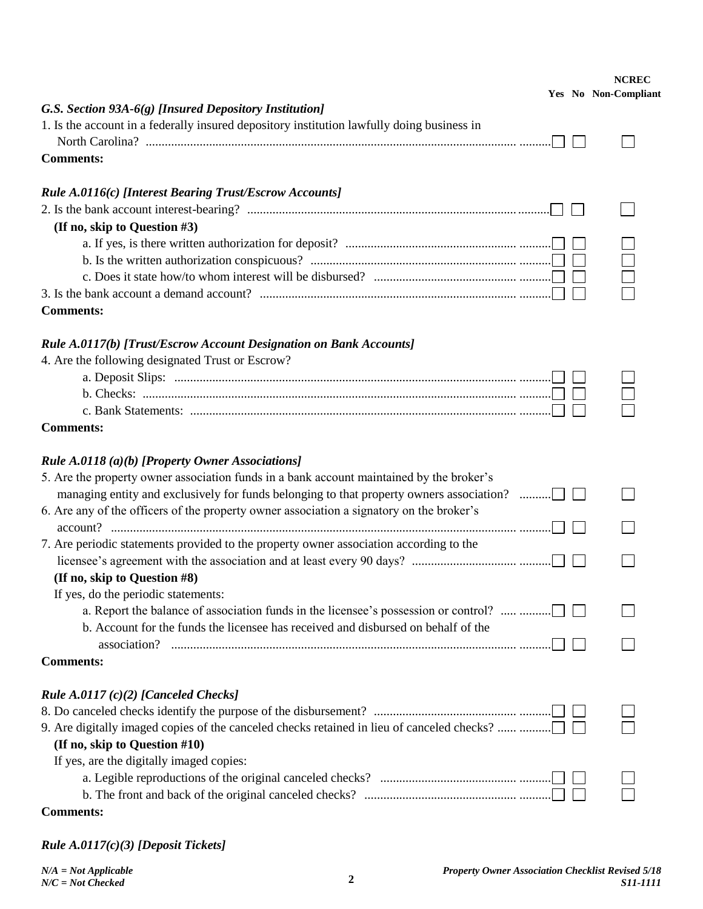| G.S. Section 93A-6(g) [Insured Depository Institution]                                     |  | <b>NCREC</b><br>Yes No Non-Compliant |
|--------------------------------------------------------------------------------------------|--|--------------------------------------|
| 1. Is the account in a federally insured depository institution lawfully doing business in |  |                                      |
| <b>Comments:</b>                                                                           |  |                                      |
| Rule A.0116(c) [Interest Bearing Trust/Escrow Accounts]                                    |  |                                      |
|                                                                                            |  |                                      |
| (If no, skip to Question #3)                                                               |  |                                      |
|                                                                                            |  |                                      |
|                                                                                            |  |                                      |
|                                                                                            |  |                                      |
|                                                                                            |  |                                      |
| <b>Comments:</b>                                                                           |  |                                      |
| Rule A.0117(b) [Trust/Escrow Account Designation on Bank Accounts]                         |  |                                      |
| 4. Are the following designated Trust or Escrow?                                           |  |                                      |
|                                                                                            |  |                                      |
|                                                                                            |  |                                      |
|                                                                                            |  |                                      |
| <b>Comments:</b>                                                                           |  |                                      |
| Rule A.0118 (a)(b) [Property Owner Associations]                                           |  |                                      |
| 5. Are the property owner association funds in a bank account maintained by the broker's   |  |                                      |
|                                                                                            |  |                                      |
| 6. Are any of the officers of the property owner association a signatory on the broker's   |  |                                      |
|                                                                                            |  |                                      |
| 7. Are periodic statements provided to the property owner association according to the     |  |                                      |
|                                                                                            |  |                                      |
| (If no, skip to Question #8)                                                               |  |                                      |
| If yes, do the periodic statements:                                                        |  |                                      |
| a. Report the balance of association funds in the licensee's possession or control?        |  |                                      |
| b. Account for the funds the licensee has received and disbursed on behalf of the          |  |                                      |
| <b>Comments:</b>                                                                           |  |                                      |
| Rule A.0117 $(c)(2)$ [Canceled Checks]                                                     |  |                                      |
|                                                                                            |  |                                      |
|                                                                                            |  |                                      |
| (If no, skip to Question #10)                                                              |  |                                      |
| If yes, are the digitally imaged copies:                                                   |  |                                      |
|                                                                                            |  |                                      |
|                                                                                            |  |                                      |
| <b>Comments:</b>                                                                           |  |                                      |

*Rule A.0117(c)(3) [Deposit Tickets]*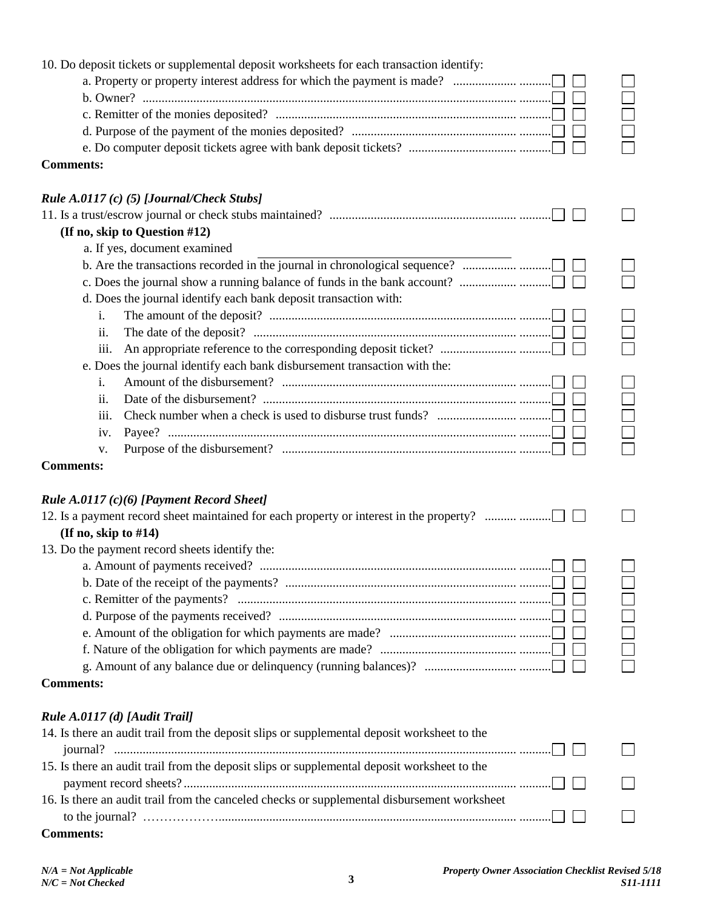| 10. Do deposit tickets or supplemental deposit worksheets for each transaction identify:                                                                               |        |
|------------------------------------------------------------------------------------------------------------------------------------------------------------------------|--------|
|                                                                                                                                                                        |        |
|                                                                                                                                                                        | $\Box$ |
|                                                                                                                                                                        |        |
|                                                                                                                                                                        |        |
|                                                                                                                                                                        |        |
| <b>Comments:</b>                                                                                                                                                       |        |
| Rule A.0117 (c) (5) [Journal/Check Stubs]                                                                                                                              |        |
|                                                                                                                                                                        |        |
| (If no, skip to Question #12)                                                                                                                                          |        |
| a. If yes, document examined                                                                                                                                           |        |
|                                                                                                                                                                        |        |
|                                                                                                                                                                        |        |
| d. Does the journal identify each bank deposit transaction with:                                                                                                       |        |
| i.                                                                                                                                                                     |        |
| The date of the deposit? $\ldots$ $\ldots$ $\ldots$ $\ldots$ $\ldots$ $\ldots$ $\ldots$ $\ldots$ $\ldots$ $\ldots$ $\ldots$ $\ldots$ $\ldots$ $\ldots$ $\ldots$<br>ii. |        |
| iii.                                                                                                                                                                   |        |
| e. Does the journal identify each bank disbursement transaction with the:                                                                                              |        |
|                                                                                                                                                                        |        |
| i.<br>ii.                                                                                                                                                              |        |
|                                                                                                                                                                        | $\Box$ |
| iii.                                                                                                                                                                   |        |
| iv.                                                                                                                                                                    |        |
| v.                                                                                                                                                                     |        |
| <b>Comments:</b>                                                                                                                                                       |        |
|                                                                                                                                                                        |        |
| Rule $A.0117(c)(6)$ [Payment Record Sheet]                                                                                                                             |        |
| 12. Is a payment record sheet maintained for each property or interest in the property?                                                                                |        |
| (If no, skip to $#14$ )                                                                                                                                                |        |
| 13. Do the payment record sheets identify the:                                                                                                                         |        |
|                                                                                                                                                                        |        |
|                                                                                                                                                                        |        |
|                                                                                                                                                                        |        |
|                                                                                                                                                                        |        |
|                                                                                                                                                                        |        |
|                                                                                                                                                                        |        |
|                                                                                                                                                                        |        |
| <b>Comments:</b>                                                                                                                                                       |        |
| Rule A.0117 (d) [Audit Trail]                                                                                                                                          |        |
| 14. Is there an audit trail from the deposit slips or supplemental deposit worksheet to the                                                                            |        |
|                                                                                                                                                                        |        |
| 15. Is there an audit trail from the deposit slips or supplemental deposit worksheet to the                                                                            |        |
|                                                                                                                                                                        |        |
| 16. Is there an audit trail from the canceled checks or supplemental disbursement worksheet                                                                            |        |
|                                                                                                                                                                        |        |
| <b>Comments:</b>                                                                                                                                                       |        |